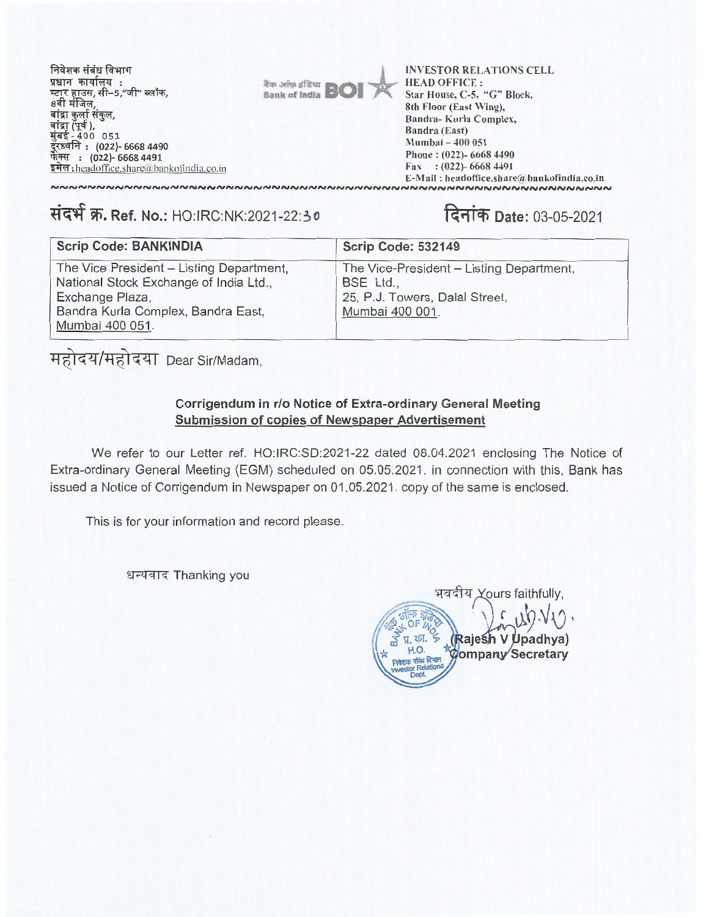| निवेशक संबंध विभाग<br>प्रधान कार्यालय :<br>स्टार हाउस, सी–5,"जी" ब्लॉक,<br>8वी मंजिल,<br>बांद्रा कुर्ला संकल,<br>बांद्रा (पूर्व ),<br>मुंबई - 400  051<br>दूरध्वनि : (022)- 6668 4490<br>फेक्स : (022)- 6668 4491 | <b>Rup Sillon</b> BO | <b>INVESTOR RELATIONS CELL</b><br><b>HEAD OFFICE:</b><br>Star House, C-5, "G" Block,<br>8th Floor (East Wing),<br>Bandra-Kurla Complex,<br>Bandra (East)<br>Mumbai - 400 051<br>Phone: (022)- 6668 4490 |
|-------------------------------------------------------------------------------------------------------------------------------------------------------------------------------------------------------------------|----------------------|---------------------------------------------------------------------------------------------------------------------------------------------------------------------------------------------------------|
| इमेल: headoffice.share@bankofindia.co.in                                                                                                                                                                          |                      | Fax: $(022)$ -6668 4491                                                                                                                                                                                 |

E-Mail: headoffice.share@bankofindia.co.in

## संदर्भ क्र. Ref. No.: HO:IRC:NK:2021-22:30 **दिनांक Date:** 03-05-2021

| <b>Scrip Code: BANKINDIA</b>                                                                                                                                   | Scrip Code: 532149                                                                                         |
|----------------------------------------------------------------------------------------------------------------------------------------------------------------|------------------------------------------------------------------------------------------------------------|
| The Vice President - Listing Department,<br>National Stock Exchange of India Ltd.,<br>Exchange Plaza,<br>Bandra Kurla Complex, Bandra East,<br>Mumbai 400 051. | The Vice-President - Listing Department,<br>BSE Ltd.,<br>25, P.J. Towers, Dalal Street,<br>Mumbai 400 001. |

महोदय/महोदया Dear Sir/Madam,

## **Corrigendum in r/o Notice of Extra-ordinary General Meeting Corrigendum in r/o Notice of Extra-ordinary General Meeting Submission of copies of Newspaper Advertisement Submission of copies of Newspaper Advertisement**

We refer to our Letter ref. HO:IRC:SD:2021-22 dated 08.04.2021 enclosing The Notice of Extra-ordinary General Meeting (EGM) scheduled on 05.05.2021. in connection with this, Bank has Extra-ordinary General Meeting (EGM) scheduled on 05.05.2021. in connection with this, Bank has issued a Notice of Corrigendum in Newspaper on 01.05.2021. copy of the same is enclosed. issued a Notice of Corrigendum in Newspaper on 01.05.2021. copy of the same is enclosed.

This is for your information and record please.

धन्यवाद Thanking you

भवदीय Xours faithfully,  $chkdi$ **ajes V padhya) ajes V padhya) \*** H.O. **RASIS TOMPANY Secretary** This is for your information and record please.<br> $\frac{1}{2}$ धन्यवाद Thanking you  $\sqrt{6}$ प्र. का. \* I.O.<br>संबंध विभाग<br>- Relations Investor Relations